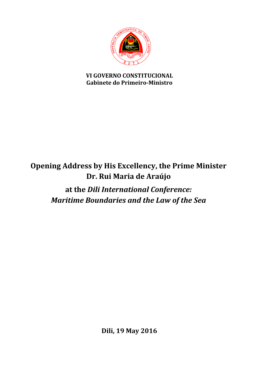

## **VI GOVERNO CONSTITUCIONAL Gabinete do Primeiro-Ministro**

## **Opening Address by His Excellency, the Prime Minister Dr. Rui Maria de Araújo**

**at the** *Dili International Conference: Maritime Boundaries and the Law of the Sea*

**Dili, 19 May 2016**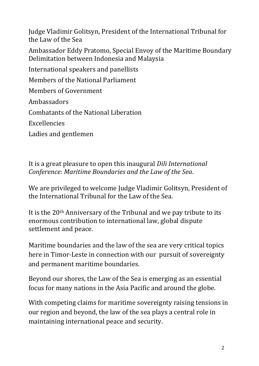Judge Vladimir Golitsyn, President of the International Tribunal for the Law of the Sea

Ambassador Eddy Pratomo, Special Envoy of the Maritime Boundary Delimitation between Indonesia and Malaysia

International speakers and panellists

Members of the National Parliament

Members of Government

Ambassadors

Combatants of the National Liberation

Excellencies

Ladies and gentlemen

It is a great pleasure to open this inaugural *Dili International Conference: Maritime Boundaries and the Law of the Sea*.

We are privileged to welcome Judge Vladimir Golitsyn, President of the International Tribunal for the Law of the Sea.

It is the 20th Anniversary of the Tribunal and we pay tribute to its enormous contribution to international law, global dispute settlement and peace.

Maritime boundaries and the law of the sea are very critical topics here in Timor-Leste in connection with our pursuit of sovereignty and permanent maritime boundaries.

Beyond our shores, the Law of the Sea is emerging as an essential focus for many nations in the Asia Pacific and around the globe.

With competing claims for maritime sovereignty raising tensions in our region and beyond, the law of the sea plays a central role in maintaining international peace and security.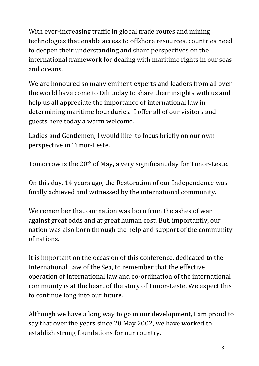With ever-increasing traffic in global trade routes and mining technologies that enable access to offshore resources, countries need to deepen their understanding and share perspectives on the international framework for dealing with maritime rights in our seas and oceans.

We are honoured so many eminent experts and leaders from all over the world have come to Dili today to share their insights with us and help us all appreciate the importance of international law in determining maritime boundaries. I offer all of our visitors and guests here today a warm welcome.

Ladies and Gentlemen, I would like to focus briefly on our own perspective in Timor-Leste.

Tomorrow is the 20th of May, a very significant day for Timor-Leste.

On this day, 14 years ago, the Restoration of our Independence was finally achieved and witnessed by the international community.

We remember that our nation was born from the ashes of war against great odds and at great human cost. But, importantly, our nation was also born through the help and support of the community of nations.

It is important on the occasion of this conference, dedicated to the International Law of the Sea, to remember that the effective operation of international law and co-ordination of the international community is at the heart of the story of Timor-Leste. We expect this to continue long into our future.

Although we have a long way to go in our development, I am proud to say that over the years since 20 May 2002, we have worked to establish strong foundations for our country.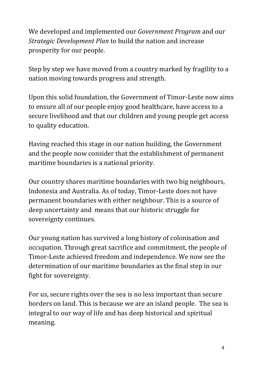We developed and implemented our *Government Program* and our *Strategic Development Plan* to build the nation and increase prosperity for our people.

Step by step we have moved from a country marked by fragility to a nation moving towards progress and strength.

Upon this solid foundation, the Government of Timor-Leste now aims to ensure all of our people enjoy good healthcare, have access to a secure livelihood and that our children and young people get access to quality education.

Having reached this stage in our nation building, the Government and the people now consider that the establishment of permanent maritime boundaries is a national priority.

Our country shares maritime boundaries with two big neighbours, Indonesia and Australia. As of today, Timor-Leste does not have permanent boundaries with either neighbour. This is a source of deep uncertainty and means that our historic struggle for sovereignty continues.

Our young nation has survived a long history of colonisation and occupation. Through great sacrifice and commitment, the people of Timor-Leste achieved freedom and independence. We now see the determination of our maritime boundaries as the final step in our fight for sovereignty.

For us, secure rights over the sea is no less important than secure borders on land. This is because we are an island people. The sea is integral to our way of life and has deep historical and spiritual meaning.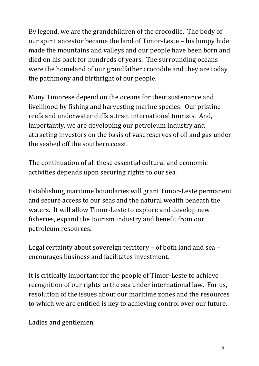By legend, we are the grandchildren of the crocodile. The body of our spirit ancestor became the land of Timor-Leste – his lumpy hide made the mountains and valleys and our people have been born and died on his back for hundreds of years. The surrounding oceans were the homeland of our grandfather crocodile and they are today the patrimony and birthright of our people.

Many Timorese depend on the oceans for their sustenance and livelihood by fishing and harvesting marine species. Our pristine reefs and underwater cliffs attract international tourists. And, importantly, we are developing our petroleum industry and attracting investors on the basis of vast reserves of oil and gas under the seabed off the southern coast.

The continuation of all these essential cultural and economic activities depends upon securing rights to our sea.

Establishing maritime boundaries will grant Timor-Leste permanent and secure access to our seas and the natural wealth beneath the waters. It will allow Timor-Leste to explore and develop new fisheries, expand the tourism industry and benefit from our petroleum resources.

Legal certainty about sovereign territory – of both land and sea – encourages business and facilitates investment.

It is critically important for the people of Timor-Leste to achieve recognition of our rights to the sea under international law. For us, resolution of the issues about our maritime zones and the resources to which we are entitled is key to achieving control over our future.

Ladies and gentlemen,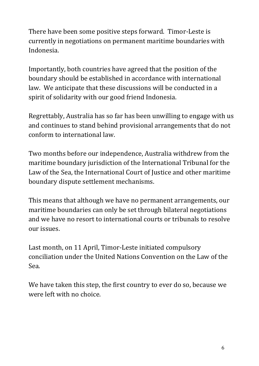There have been some positive steps forward. Timor-Leste is currently in negotiations on permanent maritime boundaries with Indonesia.

Importantly, both countries have agreed that the position of the boundary should be established in accordance with international law. We anticipate that these discussions will be conducted in a spirit of solidarity with our good friend Indonesia.

Regrettably, Australia has so far has been unwilling to engage with us and continues to stand behind provisional arrangements that do not conform to international law.

Two months before our independence, Australia withdrew from the maritime boundary jurisdiction of the International Tribunal for the Law of the Sea, the International Court of Justice and other maritime boundary dispute settlement mechanisms.

This means that although we have no permanent arrangements, our maritime boundaries can only be set through bilateral negotiations and we have no resort to international courts or tribunals to resolve our issues.

Last month, on 11 April, Timor-Leste initiated compulsory conciliation under the United Nations Convention on the Law of the Sea.

We have taken this step, the first country to ever do so, because we were left with no choice.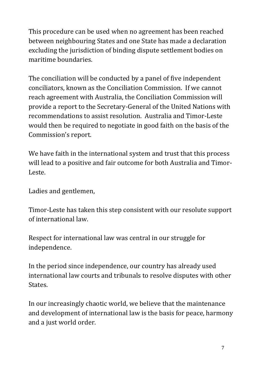This procedure can be used when no agreement has been reached between neighbouring States and one State has made a declaration excluding the jurisdiction of binding dispute settlement bodies on maritime boundaries.

The conciliation will be conducted by a panel of five independent conciliators, known as the Conciliation Commission. If we cannot reach agreement with Australia, the Conciliation Commission will provide a report to the Secretary-General of the United Nations with recommendations to assist resolution. Australia and Timor-Leste would then be required to negotiate in good faith on the basis of the Commission's report.

We have faith in the international system and trust that this process will lead to a positive and fair outcome for both Australia and Timor-Leste.

Ladies and gentlemen,

Timor-Leste has taken this step consistent with our resolute support of international law.

Respect for international law was central in our struggle for independence.

In the period since independence, our country has already used international law courts and tribunals to resolve disputes with other States.

In our increasingly chaotic world, we believe that the maintenance and development of international law is the basis for peace, harmony and a just world order.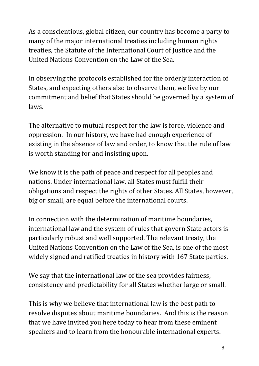As a conscientious, global citizen, our country has become a party to many of the major international treaties including human rights treaties, the Statute of the International Court of Justice and the United Nations Convention on the Law of the Sea.

In observing the protocols established for the orderly interaction of States, and expecting others also to observe them, we live by our commitment and belief that States should be governed by a system of laws.

The alternative to mutual respect for the law is force, violence and oppression. In our history, we have had enough experience of existing in the absence of law and order, to know that the rule of law is worth standing for and insisting upon.

We know it is the path of peace and respect for all peoples and nations. Under international law, all States must fulfill their obligations and respect the rights of other States. All States, however, big or small, are equal before the international courts.

In connection with the determination of maritime boundaries, international law and the system of rules that govern State actors is particularly robust and well supported. The relevant treaty, the United Nations Convention on the Law of the Sea, is one of the most widely signed and ratified treaties in history with 167 State parties.

We say that the international law of the sea provides fairness, consistency and predictability for all States whether large or small.

This is why we believe that international law is the best path to resolve disputes about maritime boundaries. And this is the reason that we have invited you here today to hear from these eminent speakers and to learn from the honourable international experts.